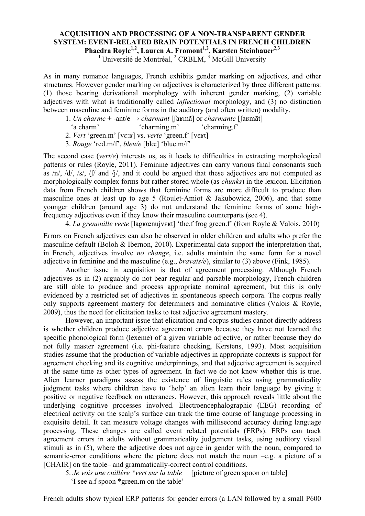## **ACQUISITION AND PROCESSING OF A NON-TRANSPARENT GENDER SYSTEM: EVENT-RELATED BRAIN POTENTIALS IN FRENCH CHILDREN Phaedra Royle1,2, Lauren A. Fromont1,2, Karsten Steinhauer2,3**

<sup>1</sup> Université de Montréal,  $2$  CRBLM,  $3$  McGill University

As in many romance languages, French exhibits gender marking on adjectives, and other structures. However gender marking on adjectives is characterized by three different patterns: (1) those bearing derivational morphology with inherent gender marking, (2) variable adjectives with what is traditionally called *inflectional* morphology, and (3) no distinction between masculine and feminine forms in the auditory (and often written) modality.

- 1. *Un charme* + -ant/e → *charmant* [ʃaʁmã] or *charmante* [ʃaʁmãt]
- 'a charm' 'charming.m' 'charming.f'
- 2. *Vert* 'green.m' [vɛ:ʁ] vs. *verte* 'green.f' [vɛʁt]
- 3. *Rouge* 'red.m/f', *bleu/e* [blœ] 'blue.m/f'

The second case (*vert/e*) interests us, as it leads to difficulties in extracting morphological patterns or rules (Royle, 2011). Feminine adjectives can carry various final consonants such as  $/n/$ ,  $/d/$ ,  $/s/$ ,  $/f/$  and  $/i/$ , and it could be argued that these adjectives are not computed as morphologically complex forms but rather stored whole (as *chunks*) in the lexicon. Elicitation data from French children shows that feminine forms are more difficult to produce than masculine ones at least up to age 5 (Roulet-Amiot & Jakubowicz, 2006), and that some younger children (around age 3) do not understand the feminine forms of some highfrequency adjectives even if they know their masculine counterparts (see 4).

4. *La grenouille verte* [lagʁœnujvɛʁt] 'the.f frog green.f' (from Royle & Valois, 2010)

Errors on French adjectives can also be observed in older children and adults who prefer the masculine default (Boloh & Ibernon, 2010). Experimental data support the interpretation that, in French, adjectives involve *no change*, i.e. adults maintain the same form for a novel adjective in feminine and the masculine (e.g., *bravais/e*), similar to (3) above (Fink, 1985).

Another issue in acquisition is that of agreement processing. Although French adjectives as in (2) arguably do not bear regular and parsable morphology, French children are still able to produce and process appropriate nominal agreement, but this is only evidenced by a restricted set of adjectives in spontaneous speech corpora. The corpus really only supports agreement mastery for determiners and nominative clitics (Valois & Royle, 2009), thus the need for elicitation tasks to test adjective agreement mastery.

However, an important issue that elicitation and corpus studies cannot directly address is whether children produce adjective agreement errors because they have not learned the specific phonological form (lexeme) of a given variable adjective, or rather because they do not fully master agreement (i.e. phi-feature checking, Kerstens, 1993). Most acquisition studies assume that the production of variable adjectives in appropriate contexts is support for agreement checking and its cognitive underpinnings, and that adjective agreement is acquired at the same time as other types of agreement. In fact we do not know whether this is true. Alien learner paradigms assess the existence of linguistic rules using grammaticality judgment tasks where children have to 'help' an alien learn their language by giving it positive or negative feedback on utterances. However, this approach reveals little about the underlying cognitive processes involved. Electroencephalographic (EEG) recording of electrical activity on the scalp's surface can track the time course of language processing in exquisite detail. It can measure voltage changes with millisecond accuracy during language processing. These changes are called event related potentials (ERPs). ERPs can track agreement errors in adults without grammaticality judgement tasks, using auditory visual stimuli as in (5), where the adjective does not agree in gender with the noun, compared to semantic-error conditions where the picture does not match the noun –e.g. a picture of a [CHAIR] on the table– and grammatically-correct control conditions.

5. *Je vois une cuillère \*vert sur la table* [picture of green spoon on table]

'I see a.f spoon \*green.m on the table'